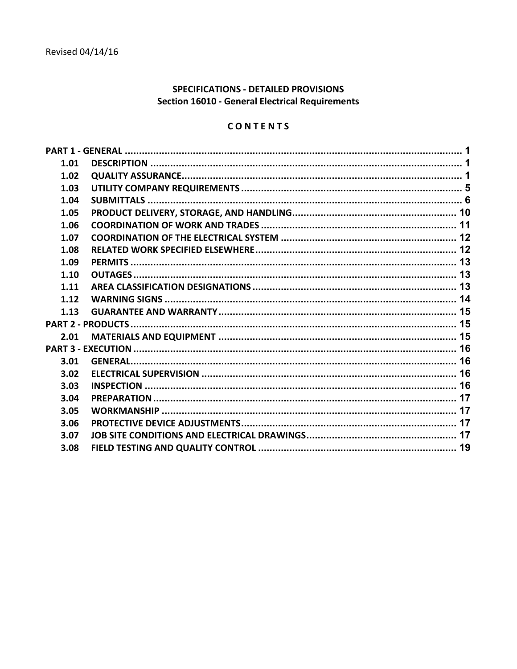# **SPECIFICATIONS - DETAILED PROVISIONS Section 16010 - General Electrical Requirements**

# CONTENTS

| 1.01 |  |
|------|--|
| 1.02 |  |
| 1.03 |  |
| 1.04 |  |
| 1.05 |  |
| 1.06 |  |
| 1.07 |  |
| 1.08 |  |
| 1.09 |  |
| 1.10 |  |
| 1.11 |  |
| 1.12 |  |
| 1.13 |  |
|      |  |
| 2.01 |  |
|      |  |
| 3.01 |  |
| 3.02 |  |
| 3.03 |  |
| 3.04 |  |
| 3.05 |  |
| 3.06 |  |
| 3.07 |  |
| 3.08 |  |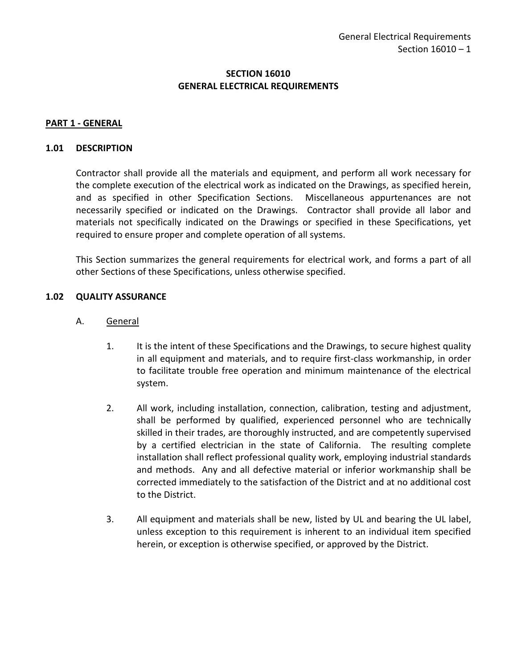## **SECTION 16010 GENERAL ELECTRICAL REQUIREMENTS**

#### <span id="page-2-0"></span>**PART 1 - GENERAL**

#### <span id="page-2-1"></span>**1.01 DESCRIPTION**

Contractor shall provide all the materials and equipment, and perform all work necessary for the complete execution of the electrical work as indicated on the Drawings, as specified herein, and as specified in other Specification Sections. Miscellaneous appurtenances are not necessarily specified or indicated on the Drawings. Contractor shall provide all labor and materials not specifically indicated on the Drawings or specified in these Specifications, yet required to ensure proper and complete operation of all systems.

This Section summarizes the general requirements for electrical work, and forms a part of all other Sections of these Specifications, unless otherwise specified.

#### <span id="page-2-2"></span>**1.02 QUALITY ASSURANCE**

- A. General
	- 1. It is the intent of these Specifications and the Drawings, to secure highest quality in all equipment and materials, and to require first-class workmanship, in order to facilitate trouble free operation and minimum maintenance of the electrical system.
	- 2. All work, including installation, connection, calibration, testing and adjustment, shall be performed by qualified, experienced personnel who are technically skilled in their trades, are thoroughly instructed, and are competently supervised by a certified electrician in the state of California. The resulting complete installation shall reflect professional quality work, employing industrial standards and methods. Any and all defective material or inferior workmanship shall be corrected immediately to the satisfaction of the District and at no additional cost to the District.
	- 3. All equipment and materials shall be new, listed by UL and bearing the UL label, unless exception to this requirement is inherent to an individual item specified herein, or exception is otherwise specified, or approved by the District.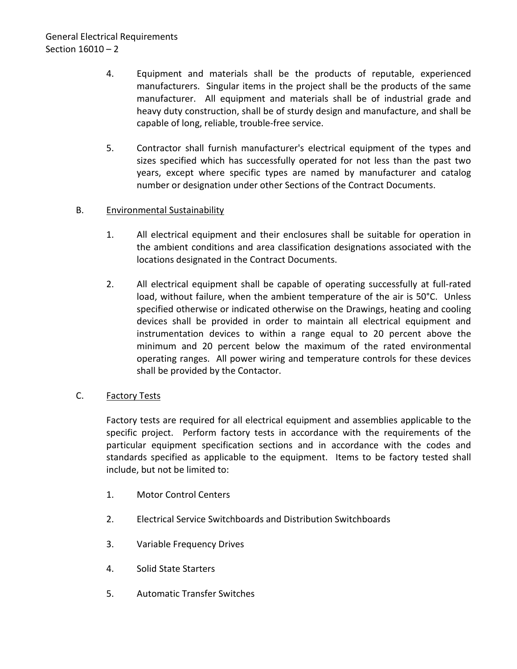- 4. Equipment and materials shall be the products of reputable, experienced manufacturers. Singular items in the project shall be the products of the same manufacturer. All equipment and materials shall be of industrial grade and heavy duty construction, shall be of sturdy design and manufacture, and shall be capable of long, reliable, trouble-free service.
- 5. Contractor shall furnish manufacturer's electrical equipment of the types and sizes specified which has successfully operated for not less than the past two years, except where specific types are named by manufacturer and catalog number or designation under other Sections of the Contract Documents.

## B. Environmental Sustainability

- 1. All electrical equipment and their enclosures shall be suitable for operation in the ambient conditions and area classification designations associated with the locations designated in the Contract Documents.
- 2. All electrical equipment shall be capable of operating successfully at full-rated load, without failure, when the ambient temperature of the air is 50°C. Unless specified otherwise or indicated otherwise on the Drawings, heating and cooling devices shall be provided in order to maintain all electrical equipment and instrumentation devices to within a range equal to 20 percent above the minimum and 20 percent below the maximum of the rated environmental operating ranges. All power wiring and temperature controls for these devices shall be provided by the Contactor.

# C. Factory Tests

Factory tests are required for all electrical equipment and assemblies applicable to the specific project. Perform factory tests in accordance with the requirements of the particular equipment specification sections and in accordance with the codes and standards specified as applicable to the equipment. Items to be factory tested shall include, but not be limited to:

- 1. Motor Control Centers
- 2. Electrical Service Switchboards and Distribution Switchboards
- 3. Variable Frequency Drives
- 4. Solid State Starters
- 5. Automatic Transfer Switches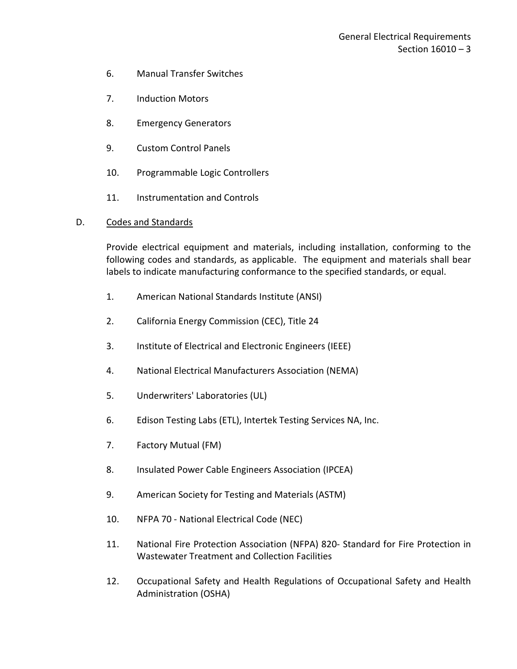- 6. Manual Transfer Switches
- 7. Induction Motors
- 8. Emergency Generators
- 9. Custom Control Panels
- 10. Programmable Logic Controllers
- 11. Instrumentation and Controls

### D. Codes and Standards

Provide electrical equipment and materials, including installation, conforming to the following codes and standards, as applicable. The equipment and materials shall bear labels to indicate manufacturing conformance to the specified standards, or equal.

- 1. American National Standards Institute (ANSI)
- 2. California Energy Commission (CEC), Title 24
- 3. Institute of Electrical and Electronic Engineers (IEEE)
- 4. National Electrical Manufacturers Association (NEMA)
- 5. Underwriters' Laboratories (UL)
- 6. Edison Testing Labs (ETL), Intertek Testing Services NA, Inc.
- 7. Factory Mutual (FM)
- 8. Insulated Power Cable Engineers Association (IPCEA)
- 9. American Society for Testing and Materials (ASTM)
- 10. NFPA 70 National Electrical Code (NEC)
- 11. National Fire Protection Association (NFPA) 820- Standard for Fire Protection in Wastewater Treatment and Collection Facilities
- 12. Occupational Safety and Health Regulations of Occupational Safety and Health Administration (OSHA)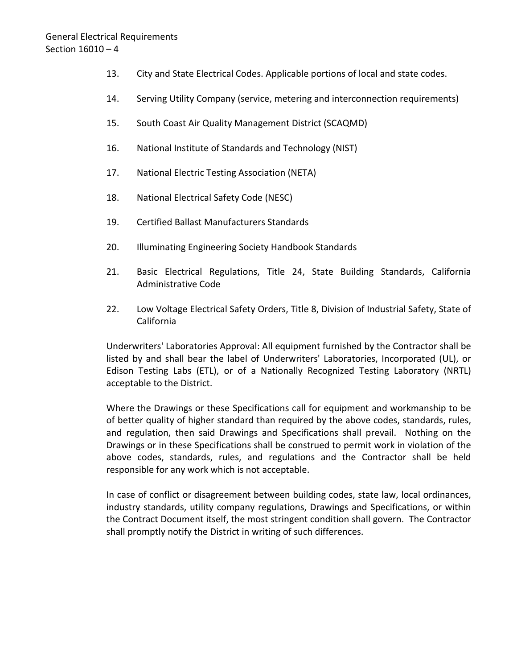- 13. City and State Electrical Codes. Applicable portions of local and state codes.
- 14. Serving Utility Company (service, metering and interconnection requirements)
- 15. South Coast Air Quality Management District (SCAQMD)
- 16. National Institute of Standards and Technology (NIST)
- 17. National Electric Testing Association (NETA)
- 18. National Electrical Safety Code (NESC)
- 19. Certified Ballast Manufacturers Standards
- 20. Illuminating Engineering Society Handbook Standards
- 21. Basic Electrical Regulations, Title 24, State Building Standards, California Administrative Code
- 22. Low Voltage Electrical Safety Orders, Title 8, Division of Industrial Safety, State of California

Underwriters' Laboratories Approval: All equipment furnished by the Contractor shall be listed by and shall bear the label of Underwriters' Laboratories, Incorporated (UL), or Edison Testing Labs (ETL), or of a Nationally Recognized Testing Laboratory (NRTL) acceptable to the District.

Where the Drawings or these Specifications call for equipment and workmanship to be of better quality of higher standard than required by the above codes, standards, rules, and regulation, then said Drawings and Specifications shall prevail. Nothing on the Drawings or in these Specifications shall be construed to permit work in violation of the above codes, standards, rules, and regulations and the Contractor shall be held responsible for any work which is not acceptable.

In case of conflict or disagreement between building codes, state law, local ordinances, industry standards, utility company regulations, Drawings and Specifications, or within the Contract Document itself, the most stringent condition shall govern. The Contractor shall promptly notify the District in writing of such differences.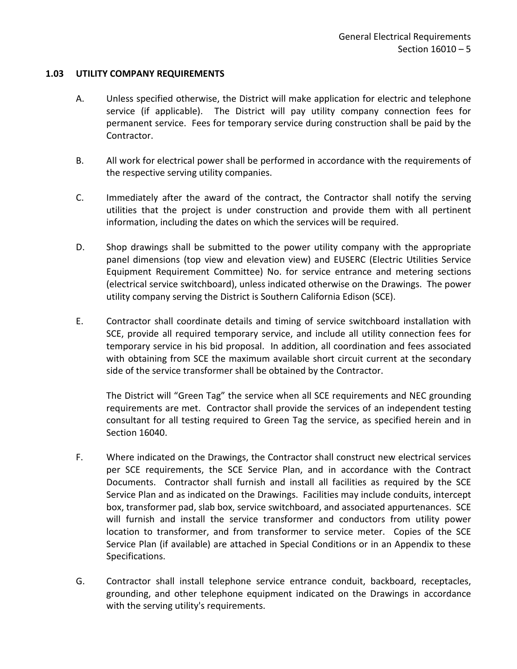### <span id="page-6-0"></span>**1.03 UTILITY COMPANY REQUIREMENTS**

- A. Unless specified otherwise, the District will make application for electric and telephone service (if applicable). The District will pay utility company connection fees for permanent service. Fees for temporary service during construction shall be paid by the Contractor.
- B. All work for electrical power shall be performed in accordance with the requirements of the respective serving utility companies.
- C. Immediately after the award of the contract, the Contractor shall notify the serving utilities that the project is under construction and provide them with all pertinent information, including the dates on which the services will be required.
- D. Shop drawings shall be submitted to the power utility company with the appropriate panel dimensions (top view and elevation view) and EUSERC (Electric Utilities Service Equipment Requirement Committee) No. for service entrance and metering sections (electrical service switchboard), unless indicated otherwise on the Drawings. The power utility company serving the District is Southern California Edison (SCE).
- E. Contractor shall coordinate details and timing of service switchboard installation with SCE, provide all required temporary service, and include all utility connection fees for temporary service in his bid proposal. In addition, all coordination and fees associated with obtaining from SCE the maximum available short circuit current at the secondary side of the service transformer shall be obtained by the Contractor.

The District will "Green Tag" the service when all SCE requirements and NEC grounding requirements are met. Contractor shall provide the services of an independent testing consultant for all testing required to Green Tag the service, as specified herein and in Section 16040.

- F. Where indicated on the Drawings, the Contractor shall construct new electrical services per SCE requirements, the SCE Service Plan, and in accordance with the Contract Documents. Contractor shall furnish and install all facilities as required by the SCE Service Plan and as indicated on the Drawings. Facilities may include conduits, intercept box, transformer pad, slab box, service switchboard, and associated appurtenances. SCE will furnish and install the service transformer and conductors from utility power location to transformer, and from transformer to service meter. Copies of the SCE Service Plan (if available) are attached in Special Conditions or in an Appendix to these Specifications.
- G. Contractor shall install telephone service entrance conduit, backboard, receptacles, grounding, and other telephone equipment indicated on the Drawings in accordance with the serving utility's requirements.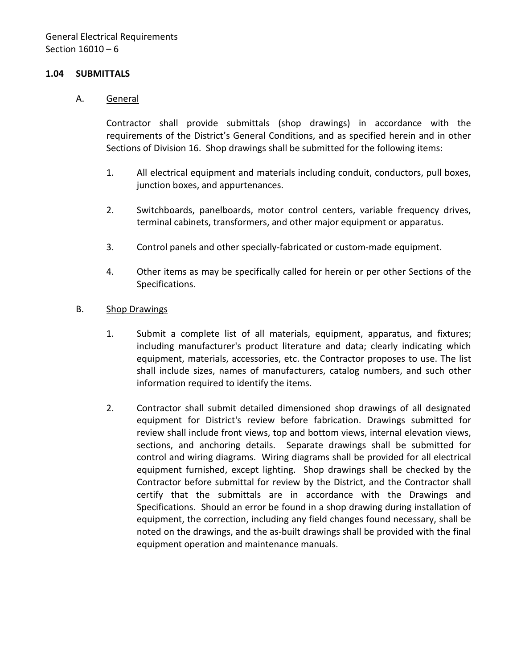### <span id="page-7-0"></span>**1.04 SUBMITTALS**

#### A. General

Contractor shall provide submittals (shop drawings) in accordance with the requirements of the District's General Conditions, and as specified herein and in other Sections of Division 16. Shop drawings shall be submitted for the following items:

- 1. All electrical equipment and materials including conduit, conductors, pull boxes, junction boxes, and appurtenances.
- 2. Switchboards, panelboards, motor control centers, variable frequency drives, terminal cabinets, transformers, and other major equipment or apparatus.
- 3. Control panels and other specially-fabricated or custom-made equipment.
- 4. Other items as may be specifically called for herein or per other Sections of the Specifications.
- B. Shop Drawings
	- 1. Submit a complete list of all materials, equipment, apparatus, and fixtures; including manufacturer's product literature and data; clearly indicating which equipment, materials, accessories, etc. the Contractor proposes to use. The list shall include sizes, names of manufacturers, catalog numbers, and such other information required to identify the items.
	- 2. Contractor shall submit detailed dimensioned shop drawings of all designated equipment for District's review before fabrication. Drawings submitted for review shall include front views, top and bottom views, internal elevation views, sections, and anchoring details. Separate drawings shall be submitted for control and wiring diagrams. Wiring diagrams shall be provided for all electrical equipment furnished, except lighting. Shop drawings shall be checked by the Contractor before submittal for review by the District, and the Contractor shall certify that the submittals are in accordance with the Drawings and Specifications. Should an error be found in a shop drawing during installation of equipment, the correction, including any field changes found necessary, shall be noted on the drawings, and the as-built drawings shall be provided with the final equipment operation and maintenance manuals.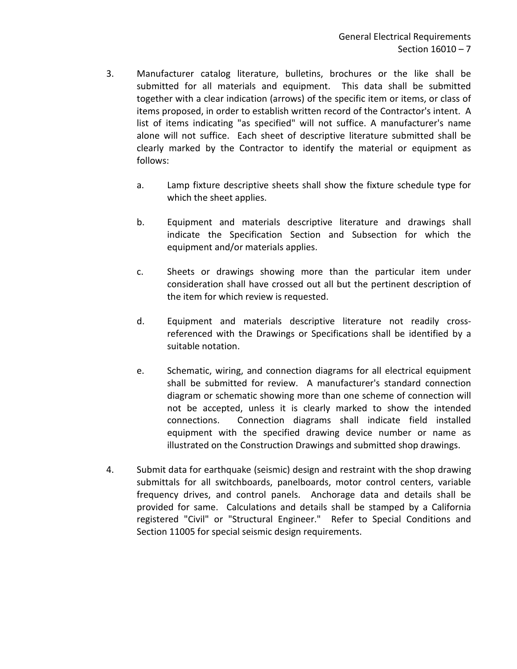- 3. Manufacturer catalog literature, bulletins, brochures or the like shall be submitted for all materials and equipment. This data shall be submitted together with a clear indication (arrows) of the specific item or items, or class of items proposed, in order to establish written record of the Contractor's intent. A list of items indicating "as specified" will not suffice. A manufacturer's name alone will not suffice. Each sheet of descriptive literature submitted shall be clearly marked by the Contractor to identify the material or equipment as follows:
	- a. Lamp fixture descriptive sheets shall show the fixture schedule type for which the sheet applies.
	- b. Equipment and materials descriptive literature and drawings shall indicate the Specification Section and Subsection for which the equipment and/or materials applies.
	- c. Sheets or drawings showing more than the particular item under consideration shall have crossed out all but the pertinent description of the item for which review is requested.
	- d. Equipment and materials descriptive literature not readily crossreferenced with the Drawings or Specifications shall be identified by a suitable notation.
	- e. Schematic, wiring, and connection diagrams for all electrical equipment shall be submitted for review. A manufacturer's standard connection diagram or schematic showing more than one scheme of connection will not be accepted, unless it is clearly marked to show the intended connections. Connection diagrams shall indicate field installed equipment with the specified drawing device number or name as illustrated on the Construction Drawings and submitted shop drawings.
- 4. Submit data for earthquake (seismic) design and restraint with the shop drawing submittals for all switchboards, panelboards, motor control centers, variable frequency drives, and control panels. Anchorage data and details shall be provided for same. Calculations and details shall be stamped by a California registered "Civil" or "Structural Engineer." Refer to Special Conditions and Section 11005 for special seismic design requirements.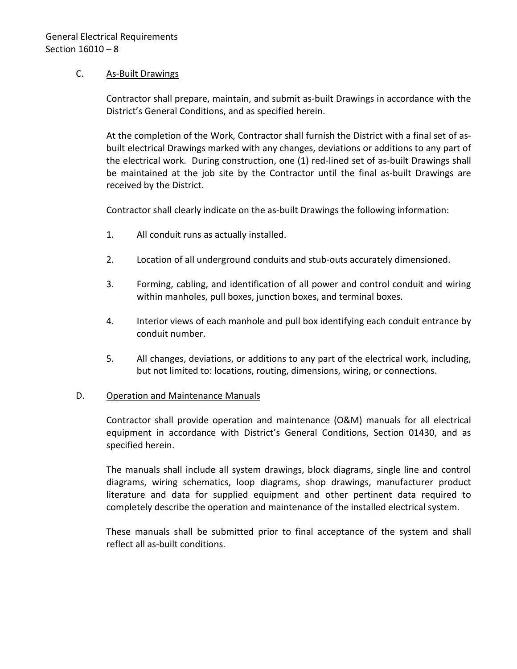### C. As-Built Drawings

Contractor shall prepare, maintain, and submit as-built Drawings in accordance with the District's General Conditions, and as specified herein.

At the completion of the Work, Contractor shall furnish the District with a final set of asbuilt electrical Drawings marked with any changes, deviations or additions to any part of the electrical work. During construction, one (1) red-lined set of as-built Drawings shall be maintained at the job site by the Contractor until the final as-built Drawings are received by the District.

Contractor shall clearly indicate on the as-built Drawings the following information:

- 1. All conduit runs as actually installed.
- 2. Location of all underground conduits and stub-outs accurately dimensioned.
- 3. Forming, cabling, and identification of all power and control conduit and wiring within manholes, pull boxes, junction boxes, and terminal boxes.
- 4. Interior views of each manhole and pull box identifying each conduit entrance by conduit number.
- 5. All changes, deviations, or additions to any part of the electrical work, including, but not limited to: locations, routing, dimensions, wiring, or connections.

### D. Operation and Maintenance Manuals

Contractor shall provide operation and maintenance (O&M) manuals for all electrical equipment in accordance with District's General Conditions, Section 01430, and as specified herein.

The manuals shall include all system drawings, block diagrams, single line and control diagrams, wiring schematics, loop diagrams, shop drawings, manufacturer product literature and data for supplied equipment and other pertinent data required to completely describe the operation and maintenance of the installed electrical system.

These manuals shall be submitted prior to final acceptance of the system and shall reflect all as-built conditions.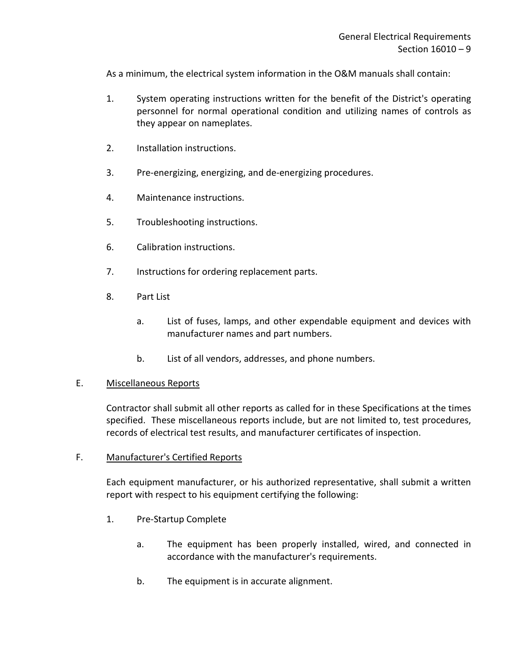As a minimum, the electrical system information in the O&M manuals shall contain:

- 1. System operating instructions written for the benefit of the District's operating personnel for normal operational condition and utilizing names of controls as they appear on nameplates.
- 2. Installation instructions.
- 3. Pre-energizing, energizing, and de-energizing procedures.
- 4. Maintenance instructions.
- 5. Troubleshooting instructions.
- 6. Calibration instructions.
- 7. Instructions for ordering replacement parts.
- 8. Part List
	- a. List of fuses, lamps, and other expendable equipment and devices with manufacturer names and part numbers.
	- b. List of all vendors, addresses, and phone numbers.

### E. Miscellaneous Reports

Contractor shall submit all other reports as called for in these Specifications at the times specified. These miscellaneous reports include, but are not limited to, test procedures, records of electrical test results, and manufacturer certificates of inspection.

### F. Manufacturer's Certified Reports

Each equipment manufacturer, or his authorized representative, shall submit a written report with respect to his equipment certifying the following:

- 1. Pre-Startup Complete
	- a. The equipment has been properly installed, wired, and connected in accordance with the manufacturer's requirements.
	- b. The equipment is in accurate alignment.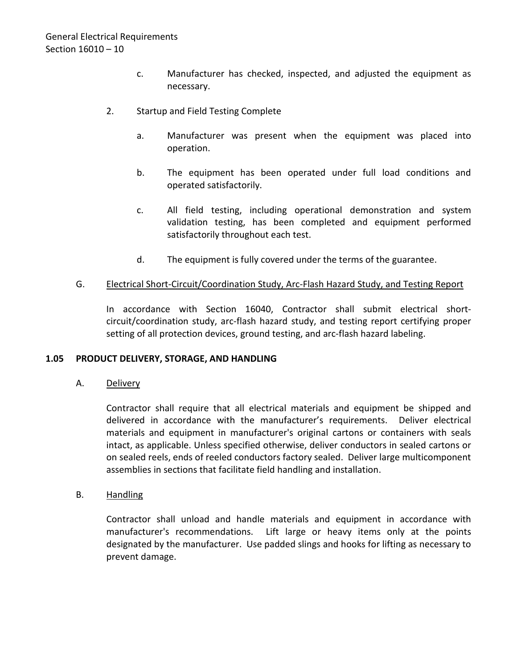- c. Manufacturer has checked, inspected, and adjusted the equipment as necessary.
- 2. Startup and Field Testing Complete
	- a. Manufacturer was present when the equipment was placed into operation.
	- b. The equipment has been operated under full load conditions and operated satisfactorily.
	- c. All field testing, including operational demonstration and system validation testing, has been completed and equipment performed satisfactorily throughout each test.
	- d. The equipment is fully covered under the terms of the guarantee.

### G. Electrical Short-Circuit/Coordination Study, Arc-Flash Hazard Study, and Testing Report

In accordance with Section 16040, Contractor shall submit electrical shortcircuit/coordination study, arc-flash hazard study, and testing report certifying proper setting of all protection devices, ground testing, and arc-flash hazard labeling.

### <span id="page-11-0"></span>**1.05 PRODUCT DELIVERY, STORAGE, AND HANDLING**

A. Delivery

Contractor shall require that all electrical materials and equipment be shipped and delivered in accordance with the manufacturer's requirements. Deliver electrical materials and equipment in manufacturer's original cartons or containers with seals intact, as applicable. Unless specified otherwise, deliver conductors in sealed cartons or on sealed reels, ends of reeled conductors factory sealed. Deliver large multicomponent assemblies in sections that facilitate field handling and installation.

### B. Handling

Contractor shall unload and handle materials and equipment in accordance with manufacturer's recommendations. Lift large or heavy items only at the points designated by the manufacturer. Use padded slings and hooks for lifting as necessary to prevent damage.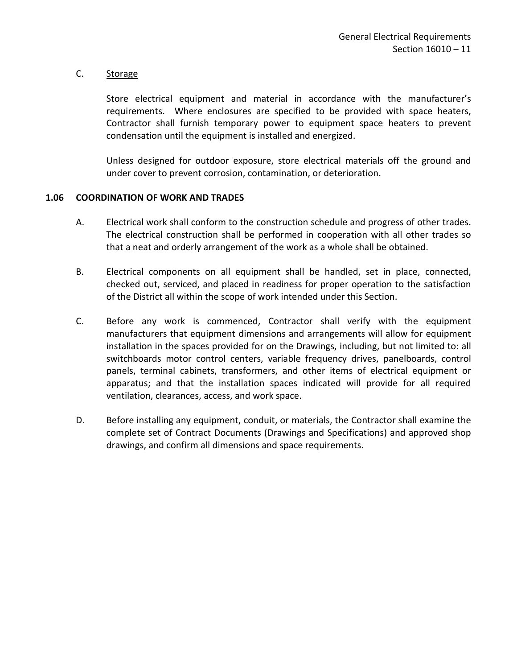### C. Storage

Store electrical equipment and material in accordance with the manufacturer's requirements. Where enclosures are specified to be provided with space heaters, Contractor shall furnish temporary power to equipment space heaters to prevent condensation until the equipment is installed and energized.

Unless designed for outdoor exposure, store electrical materials off the ground and under cover to prevent corrosion, contamination, or deterioration.

#### <span id="page-12-0"></span>**1.06 COORDINATION OF WORK AND TRADES**

- A. Electrical work shall conform to the construction schedule and progress of other trades. The electrical construction shall be performed in cooperation with all other trades so that a neat and orderly arrangement of the work as a whole shall be obtained.
- B. Electrical components on all equipment shall be handled, set in place, connected, checked out, serviced, and placed in readiness for proper operation to the satisfaction of the District all within the scope of work intended under this Section.
- C. Before any work is commenced, Contractor shall verify with the equipment manufacturers that equipment dimensions and arrangements will allow for equipment installation in the spaces provided for on the Drawings, including, but not limited to: all switchboards motor control centers, variable frequency drives, panelboards, control panels, terminal cabinets, transformers, and other items of electrical equipment or apparatus; and that the installation spaces indicated will provide for all required ventilation, clearances, access, and work space.
- D. Before installing any equipment, conduit, or materials, the Contractor shall examine the complete set of Contract Documents (Drawings and Specifications) and approved shop drawings, and confirm all dimensions and space requirements.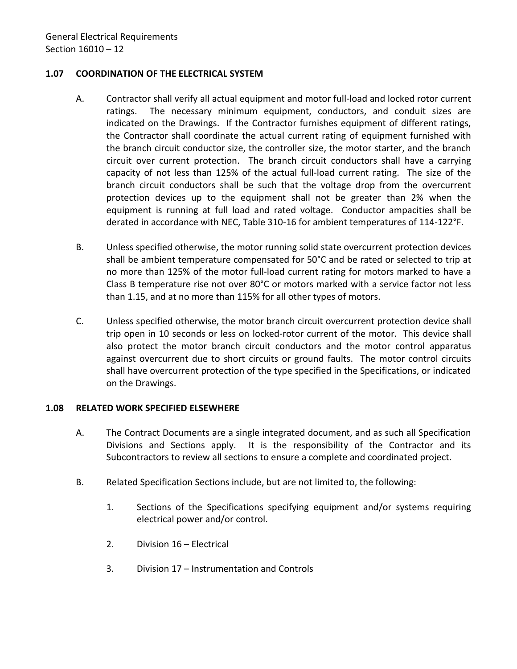## <span id="page-13-0"></span>**1.07 COORDINATION OF THE ELECTRICAL SYSTEM**

- A. Contractor shall verify all actual equipment and motor full-load and locked rotor current ratings. The necessary minimum equipment, conductors, and conduit sizes are indicated on the Drawings. If the Contractor furnishes equipment of different ratings, the Contractor shall coordinate the actual current rating of equipment furnished with the branch circuit conductor size, the controller size, the motor starter, and the branch circuit over current protection. The branch circuit conductors shall have a carrying capacity of not less than 125% of the actual full-load current rating. The size of the branch circuit conductors shall be such that the voltage drop from the overcurrent protection devices up to the equipment shall not be greater than 2% when the equipment is running at full load and rated voltage. Conductor ampacities shall be derated in accordance with NEC, Table 310-16 for ambient temperatures of 114-122°F.
- B. Unless specified otherwise, the motor running solid state overcurrent protection devices shall be ambient temperature compensated for 50°C and be rated or selected to trip at no more than 125% of the motor full-load current rating for motors marked to have a Class B temperature rise not over 80°C or motors marked with a service factor not less than 1.15, and at no more than 115% for all other types of motors.
- C. Unless specified otherwise, the motor branch circuit overcurrent protection device shall trip open in 10 seconds or less on locked-rotor current of the motor. This device shall also protect the motor branch circuit conductors and the motor control apparatus against overcurrent due to short circuits or ground faults. The motor control circuits shall have overcurrent protection of the type specified in the Specifications, or indicated on the Drawings.

### <span id="page-13-1"></span>**1.08 RELATED WORK SPECIFIED ELSEWHERE**

- A. The Contract Documents are a single integrated document, and as such all Specification Divisions and Sections apply. It is the responsibility of the Contractor and its Subcontractors to review all sections to ensure a complete and coordinated project.
- B. Related Specification Sections include, but are not limited to, the following:
	- 1. Sections of the Specifications specifying equipment and/or systems requiring electrical power and/or control.
	- 2. Division 16 Electrical
	- 3. Division 17 Instrumentation and Controls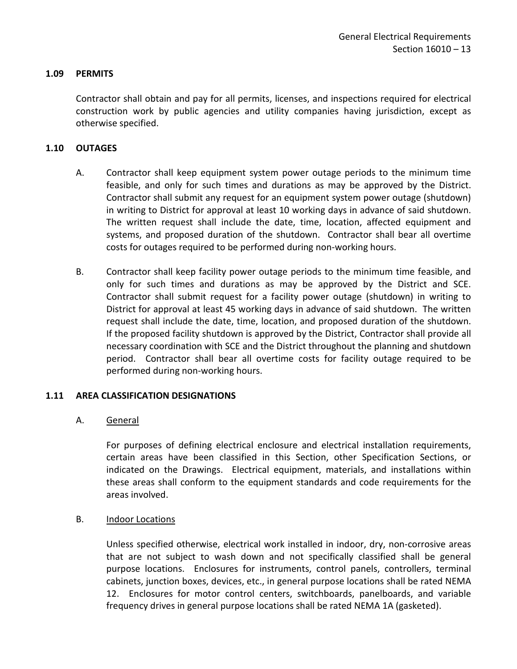### <span id="page-14-0"></span>**1.09 PERMITS**

Contractor shall obtain and pay for all permits, licenses, and inspections required for electrical construction work by public agencies and utility companies having jurisdiction, except as otherwise specified.

## <span id="page-14-1"></span>**1.10 OUTAGES**

- A. Contractor shall keep equipment system power outage periods to the minimum time feasible, and only for such times and durations as may be approved by the District. Contractor shall submit any request for an equipment system power outage (shutdown) in writing to District for approval at least 10 working days in advance of said shutdown. The written request shall include the date, time, location, affected equipment and systems, and proposed duration of the shutdown. Contractor shall bear all overtime costs for outages required to be performed during non-working hours.
- B. Contractor shall keep facility power outage periods to the minimum time feasible, and only for such times and durations as may be approved by the District and SCE. Contractor shall submit request for a facility power outage (shutdown) in writing to District for approval at least 45 working days in advance of said shutdown. The written request shall include the date, time, location, and proposed duration of the shutdown. If the proposed facility shutdown is approved by the District, Contractor shall provide all necessary coordination with SCE and the District throughout the planning and shutdown period. Contractor shall bear all overtime costs for facility outage required to be performed during non-working hours.

### <span id="page-14-2"></span>**1.11 AREA CLASSIFICATION DESIGNATIONS**

### A. General

For purposes of defining electrical enclosure and electrical installation requirements, certain areas have been classified in this Section, other Specification Sections, or indicated on the Drawings. Electrical equipment, materials, and installations within these areas shall conform to the equipment standards and code requirements for the areas involved.

### B. **Indoor Locations**

Unless specified otherwise, electrical work installed in indoor, dry, non-corrosive areas that are not subject to wash down and not specifically classified shall be general purpose locations. Enclosures for instruments, control panels, controllers, terminal cabinets, junction boxes, devices, etc., in general purpose locations shall be rated NEMA 12. Enclosures for motor control centers, switchboards, panelboards, and variable frequency drives in general purpose locations shall be rated NEMA 1A (gasketed).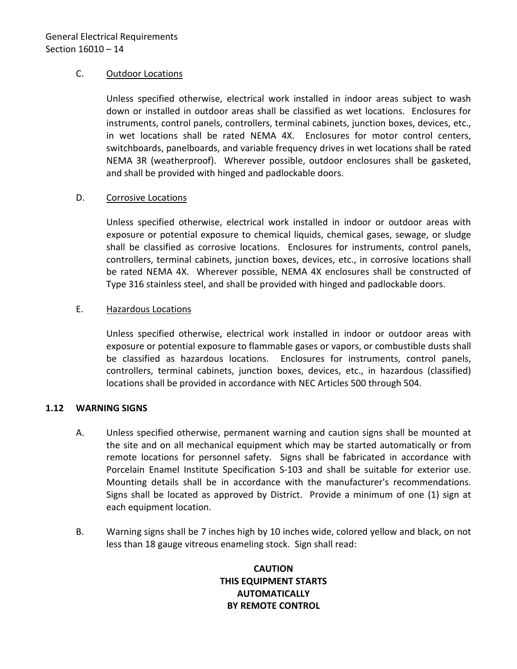### C. Outdoor Locations

Unless specified otherwise, electrical work installed in indoor areas subject to wash down or installed in outdoor areas shall be classified as wet locations. Enclosures for instruments, control panels, controllers, terminal cabinets, junction boxes, devices, etc., in wet locations shall be rated NEMA 4X. Enclosures for motor control centers, switchboards, panelboards, and variable frequency drives in wet locations shall be rated NEMA 3R (weatherproof). Wherever possible, outdoor enclosures shall be gasketed, and shall be provided with hinged and padlockable doors.

## D. Corrosive Locations

Unless specified otherwise, electrical work installed in indoor or outdoor areas with exposure or potential exposure to chemical liquids, chemical gases, sewage, or sludge shall be classified as corrosive locations. Enclosures for instruments, control panels, controllers, terminal cabinets, junction boxes, devices, etc., in corrosive locations shall be rated NEMA 4X. Wherever possible, NEMA 4X enclosures shall be constructed of Type 316 stainless steel, and shall be provided with hinged and padlockable doors.

## E. Hazardous Locations

Unless specified otherwise, electrical work installed in indoor or outdoor areas with exposure or potential exposure to flammable gases or vapors, or combustible dusts shall be classified as hazardous locations. Enclosures for instruments, control panels, controllers, terminal cabinets, junction boxes, devices, etc., in hazardous (classified) locations shall be provided in accordance with NEC Articles 500 through 504.

### <span id="page-15-0"></span>**1.12 WARNING SIGNS**

- A. Unless specified otherwise, permanent warning and caution signs shall be mounted at the site and on all mechanical equipment which may be started automatically or from remote locations for personnel safety. Signs shall be fabricated in accordance with Porcelain Enamel Institute Specification S-103 and shall be suitable for exterior use. Mounting details shall be in accordance with the manufacturer's recommendations. Signs shall be located as approved by District. Provide a minimum of one (1) sign at each equipment location.
- B. Warning signs shall be 7 inches high by 10 inches wide, colored yellow and black, on not less than 18 gauge vitreous enameling stock. Sign shall read:

# **CAUTION THIS EQUIPMENT STARTS AUTOMATICALLY BY REMOTE CONTROL**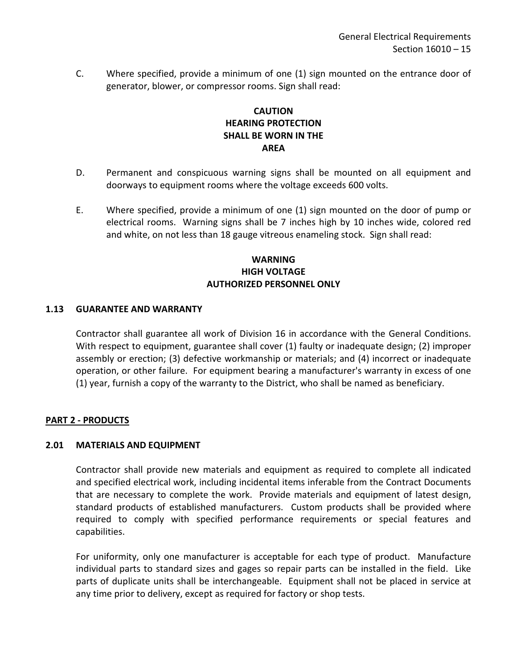C. Where specified, provide a minimum of one (1) sign mounted on the entrance door of generator, blower, or compressor rooms. Sign shall read:

# **CAUTION HEARING PROTECTION SHALL BE WORN IN THE AREA**

- D. Permanent and conspicuous warning signs shall be mounted on all equipment and doorways to equipment rooms where the voltage exceeds 600 volts.
- E. Where specified, provide a minimum of one (1) sign mounted on the door of pump or electrical rooms. Warning signs shall be 7 inches high by 10 inches wide, colored red and white, on not less than 18 gauge vitreous enameling stock. Sign shall read:

# **WARNING HIGH VOLTAGE AUTHORIZED PERSONNEL ONLY**

### <span id="page-16-0"></span>**1.13 GUARANTEE AND WARRANTY**

Contractor shall guarantee all work of Division 16 in accordance with the General Conditions. With respect to equipment, guarantee shall cover (1) faulty or inadequate design; (2) improper assembly or erection; (3) defective workmanship or materials; and (4) incorrect or inadequate operation, or other failure. For equipment bearing a manufacturer's warranty in excess of one (1) year, furnish a copy of the warranty to the District, who shall be named as beneficiary.

### <span id="page-16-1"></span>**PART 2 - PRODUCTS**

### <span id="page-16-2"></span>**2.01 MATERIALS AND EQUIPMENT**

Contractor shall provide new materials and equipment as required to complete all indicated and specified electrical work, including incidental items inferable from the Contract Documents that are necessary to complete the work. Provide materials and equipment of latest design, standard products of established manufacturers. Custom products shall be provided where required to comply with specified performance requirements or special features and capabilities.

For uniformity, only one manufacturer is acceptable for each type of product. Manufacture individual parts to standard sizes and gages so repair parts can be installed in the field. Like parts of duplicate units shall be interchangeable. Equipment shall not be placed in service at any time prior to delivery, except as required for factory or shop tests.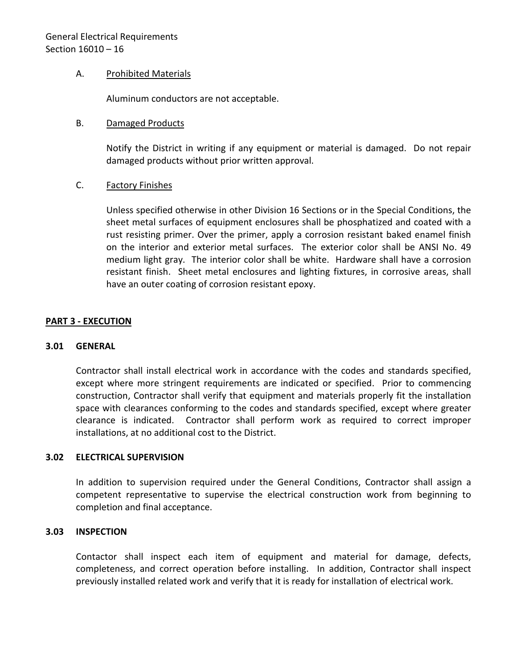### A. Prohibited Materials

Aluminum conductors are not acceptable.

### B. Damaged Products

Notify the District in writing if any equipment or material is damaged. Do not repair damaged products without prior written approval.

## C. Factory Finishes

Unless specified otherwise in other Division 16 Sections or in the Special Conditions, the sheet metal surfaces of equipment enclosures shall be phosphatized and coated with a rust resisting primer. Over the primer, apply a corrosion resistant baked enamel finish on the interior and exterior metal surfaces. The exterior color shall be ANSI No. 49 medium light gray. The interior color shall be white. Hardware shall have a corrosion resistant finish. Sheet metal enclosures and lighting fixtures, in corrosive areas, shall have an outer coating of corrosion resistant epoxy.

## <span id="page-17-0"></span>**PART 3 - EXECUTION**

### <span id="page-17-1"></span>**3.01 GENERAL**

Contractor shall install electrical work in accordance with the codes and standards specified, except where more stringent requirements are indicated or specified. Prior to commencing construction, Contractor shall verify that equipment and materials properly fit the installation space with clearances conforming to the codes and standards specified, except where greater clearance is indicated. Contractor shall perform work as required to correct improper installations, at no additional cost to the District.

### <span id="page-17-2"></span>**3.02 ELECTRICAL SUPERVISION**

In addition to supervision required under the General Conditions, Contractor shall assign a competent representative to supervise the electrical construction work from beginning to completion and final acceptance.

### <span id="page-17-3"></span>**3.03 INSPECTION**

Contactor shall inspect each item of equipment and material for damage, defects, completeness, and correct operation before installing. In addition, Contractor shall inspect previously installed related work and verify that it is ready for installation of electrical work.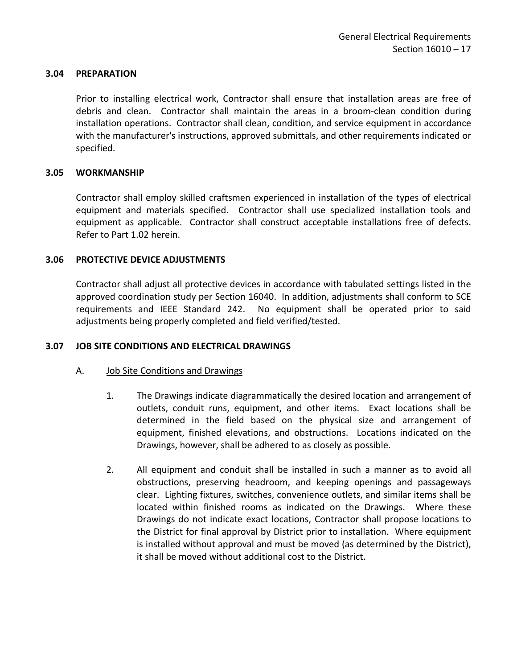#### <span id="page-18-0"></span>**3.04 PREPARATION**

Prior to installing electrical work, Contractor shall ensure that installation areas are free of debris and clean. Contractor shall maintain the areas in a broom-clean condition during installation operations. Contractor shall clean, condition, and service equipment in accordance with the manufacturer's instructions, approved submittals, and other requirements indicated or specified.

#### <span id="page-18-1"></span>**3.05 WORKMANSHIP**

Contractor shall employ skilled craftsmen experienced in installation of the types of electrical equipment and materials specified. Contractor shall use specialized installation tools and equipment as applicable. Contractor shall construct acceptable installations free of defects. Refer to Part 1.02 herein.

### <span id="page-18-2"></span>**3.06 PROTECTIVE DEVICE ADJUSTMENTS**

Contractor shall adjust all protective devices in accordance with tabulated settings listed in the approved coordination study per Section 16040. In addition, adjustments shall conform to SCE requirements and IEEE Standard 242. No equipment shall be operated prior to said adjustments being properly completed and field verified/tested.

### <span id="page-18-3"></span>**3.07 JOB SITE CONDITIONS AND ELECTRICAL DRAWINGS**

#### A. Job Site Conditions and Drawings

- 1. The Drawings indicate diagrammatically the desired location and arrangement of outlets, conduit runs, equipment, and other items. Exact locations shall be determined in the field based on the physical size and arrangement of equipment, finished elevations, and obstructions. Locations indicated on the Drawings, however, shall be adhered to as closely as possible.
- 2. All equipment and conduit shall be installed in such a manner as to avoid all obstructions, preserving headroom, and keeping openings and passageways clear. Lighting fixtures, switches, convenience outlets, and similar items shall be located within finished rooms as indicated on the Drawings. Where these Drawings do not indicate exact locations, Contractor shall propose locations to the District for final approval by District prior to installation. Where equipment is installed without approval and must be moved (as determined by the District), it shall be moved without additional cost to the District.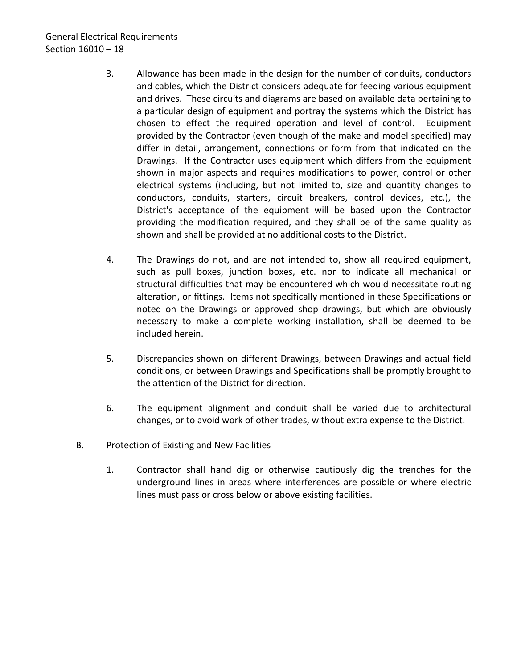# General Electrical Requirements Section 16010 – 18

- 3. Allowance has been made in the design for the number of conduits, conductors and cables, which the District considers adequate for feeding various equipment and drives. These circuits and diagrams are based on available data pertaining to a particular design of equipment and portray the systems which the District has chosen to effect the required operation and level of control. Equipment provided by the Contractor (even though of the make and model specified) may differ in detail, arrangement, connections or form from that indicated on the Drawings. If the Contractor uses equipment which differs from the equipment shown in major aspects and requires modifications to power, control or other electrical systems (including, but not limited to, size and quantity changes to conductors, conduits, starters, circuit breakers, control devices, etc.), the District's acceptance of the equipment will be based upon the Contractor providing the modification required, and they shall be of the same quality as shown and shall be provided at no additional costs to the District.
- 4. The Drawings do not, and are not intended to, show all required equipment, such as pull boxes, junction boxes, etc. nor to indicate all mechanical or structural difficulties that may be encountered which would necessitate routing alteration, or fittings. Items not specifically mentioned in these Specifications or noted on the Drawings or approved shop drawings, but which are obviously necessary to make a complete working installation, shall be deemed to be included herein.
- 5. Discrepancies shown on different Drawings, between Drawings and actual field conditions, or between Drawings and Specifications shall be promptly brought to the attention of the District for direction.
- 6. The equipment alignment and conduit shall be varied due to architectural changes, or to avoid work of other trades, without extra expense to the District.

# B. Protection of Existing and New Facilities

1. Contractor shall hand dig or otherwise cautiously dig the trenches for the underground lines in areas where interferences are possible or where electric lines must pass or cross below or above existing facilities.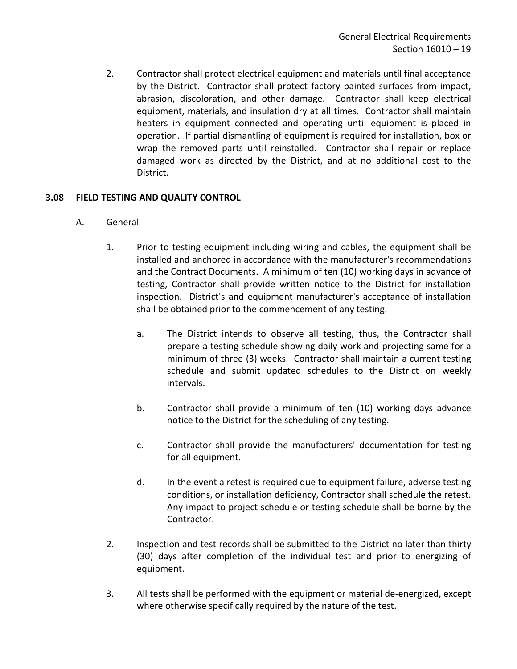2. Contractor shall protect electrical equipment and materials until final acceptance by the District. Contractor shall protect factory painted surfaces from impact, abrasion, discoloration, and other damage. Contractor shall keep electrical equipment, materials, and insulation dry at all times. Contractor shall maintain heaters in equipment connected and operating until equipment is placed in operation. If partial dismantling of equipment is required for installation, box or wrap the removed parts until reinstalled. Contractor shall repair or replace damaged work as directed by the District, and at no additional cost to the District.

# <span id="page-20-0"></span>**3.08 FIELD TESTING AND QUALITY CONTROL**

- A. General
	- 1. Prior to testing equipment including wiring and cables, the equipment shall be installed and anchored in accordance with the manufacturer's recommendations and the Contract Documents. A minimum of ten (10) working days in advance of testing, Contractor shall provide written notice to the District for installation inspection. District's and equipment manufacturer's acceptance of installation shall be obtained prior to the commencement of any testing.
		- a. The District intends to observe all testing, thus, the Contractor shall prepare a testing schedule showing daily work and projecting same for a minimum of three (3) weeks. Contractor shall maintain a current testing schedule and submit updated schedules to the District on weekly intervals.
		- b. Contractor shall provide a minimum of ten (10) working days advance notice to the District for the scheduling of any testing.
		- c. Contractor shall provide the manufacturers' documentation for testing for all equipment.
		- d. In the event a retest is required due to equipment failure, adverse testing conditions, or installation deficiency, Contractor shall schedule the retest. Any impact to project schedule or testing schedule shall be borne by the Contractor.
	- 2. Inspection and test records shall be submitted to the District no later than thirty (30) days after completion of the individual test and prior to energizing of equipment.
	- 3. All tests shall be performed with the equipment or material de-energized, except where otherwise specifically required by the nature of the test.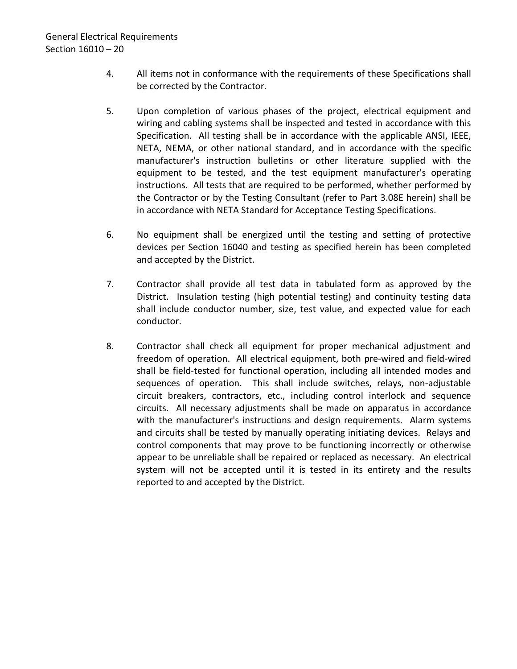- 4. All items not in conformance with the requirements of these Specifications shall be corrected by the Contractor.
- 5. Upon completion of various phases of the project, electrical equipment and wiring and cabling systems shall be inspected and tested in accordance with this Specification. All testing shall be in accordance with the applicable ANSI, IEEE, NETA, NEMA, or other national standard, and in accordance with the specific manufacturer's instruction bulletins or other literature supplied with the equipment to be tested, and the test equipment manufacturer's operating instructions. All tests that are required to be performed, whether performed by the Contractor or by the Testing Consultant (refer to Part 3.08E herein) shall be in accordance with NETA Standard for Acceptance Testing Specifications.
- 6. No equipment shall be energized until the testing and setting of protective devices per Section 16040 and testing as specified herein has been completed and accepted by the District.
- 7. Contractor shall provide all test data in tabulated form as approved by the District. Insulation testing (high potential testing) and continuity testing data shall include conductor number, size, test value, and expected value for each conductor.
- 8. Contractor shall check all equipment for proper mechanical adjustment and freedom of operation. All electrical equipment, both pre-wired and field-wired shall be field-tested for functional operation, including all intended modes and sequences of operation. This shall include switches, relays, non-adjustable circuit breakers, contractors, etc., including control interlock and sequence circuits. All necessary adjustments shall be made on apparatus in accordance with the manufacturer's instructions and design requirements. Alarm systems and circuits shall be tested by manually operating initiating devices. Relays and control components that may prove to be functioning incorrectly or otherwise appear to be unreliable shall be repaired or replaced as necessary. An electrical system will not be accepted until it is tested in its entirety and the results reported to and accepted by the District.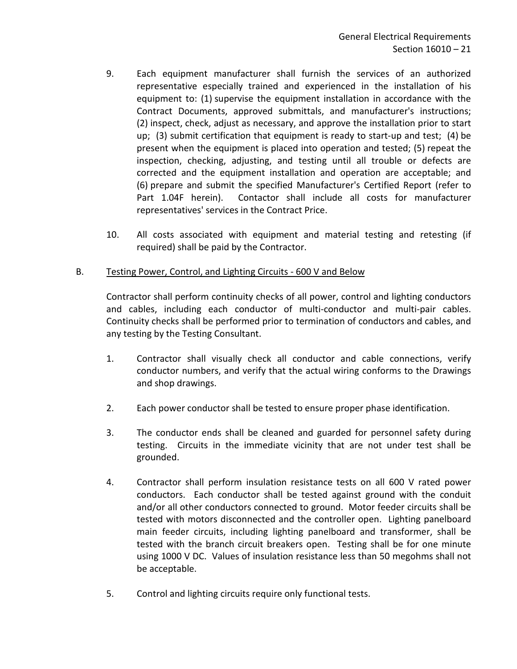- 9. Each equipment manufacturer shall furnish the services of an authorized representative especially trained and experienced in the installation of his equipment to: (1) supervise the equipment installation in accordance with the Contract Documents, approved submittals, and manufacturer's instructions; (2) inspect, check, adjust as necessary, and approve the installation prior to start up; (3) submit certification that equipment is ready to start-up and test; (4) be present when the equipment is placed into operation and tested; (5) repeat the inspection, checking, adjusting, and testing until all trouble or defects are corrected and the equipment installation and operation are acceptable; and (6) prepare and submit the specified Manufacturer's Certified Report (refer to Part 1.04F herein). Contactor shall include all costs for manufacturer representatives' services in the Contract Price.
- 10. All costs associated with equipment and material testing and retesting (if required) shall be paid by the Contractor.

### B. Testing Power, Control, and Lighting Circuits - 600 V and Below

Contractor shall perform continuity checks of all power, control and lighting conductors and cables, including each conductor of multi-conductor and multi-pair cables. Continuity checks shall be performed prior to termination of conductors and cables, and any testing by the Testing Consultant.

- 1. Contractor shall visually check all conductor and cable connections, verify conductor numbers, and verify that the actual wiring conforms to the Drawings and shop drawings.
- 2. Each power conductor shall be tested to ensure proper phase identification.
- 3. The conductor ends shall be cleaned and guarded for personnel safety during testing. Circuits in the immediate vicinity that are not under test shall be grounded.
- 4. Contractor shall perform insulation resistance tests on all 600 V rated power conductors. Each conductor shall be tested against ground with the conduit and/or all other conductors connected to ground. Motor feeder circuits shall be tested with motors disconnected and the controller open. Lighting panelboard main feeder circuits, including lighting panelboard and transformer, shall be tested with the branch circuit breakers open. Testing shall be for one minute using 1000 V DC. Values of insulation resistance less than 50 megohms shall not be acceptable.
- 5. Control and lighting circuits require only functional tests.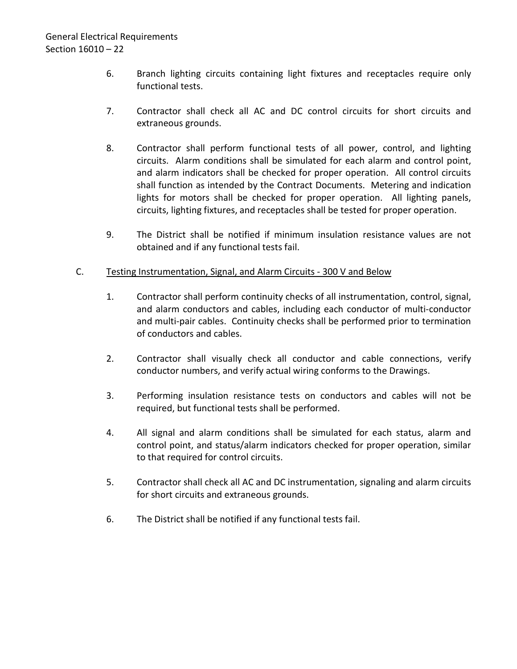- 6. Branch lighting circuits containing light fixtures and receptacles require only functional tests.
- 7. Contractor shall check all AC and DC control circuits for short circuits and extraneous grounds.
- 8. Contractor shall perform functional tests of all power, control, and lighting circuits. Alarm conditions shall be simulated for each alarm and control point, and alarm indicators shall be checked for proper operation. All control circuits shall function as intended by the Contract Documents. Metering and indication lights for motors shall be checked for proper operation. All lighting panels, circuits, lighting fixtures, and receptacles shall be tested for proper operation.
- 9. The District shall be notified if minimum insulation resistance values are not obtained and if any functional tests fail.

## C. Testing Instrumentation, Signal, and Alarm Circuits - 300 V and Below

- 1. Contractor shall perform continuity checks of all instrumentation, control, signal, and alarm conductors and cables, including each conductor of multi-conductor and multi-pair cables. Continuity checks shall be performed prior to termination of conductors and cables.
- 2. Contractor shall visually check all conductor and cable connections, verify conductor numbers, and verify actual wiring conforms to the Drawings.
- 3. Performing insulation resistance tests on conductors and cables will not be required, but functional tests shall be performed.
- 4. All signal and alarm conditions shall be simulated for each status, alarm and control point, and status/alarm indicators checked for proper operation, similar to that required for control circuits.
- 5. Contractor shall check all AC and DC instrumentation, signaling and alarm circuits for short circuits and extraneous grounds.
- 6. The District shall be notified if any functional tests fail.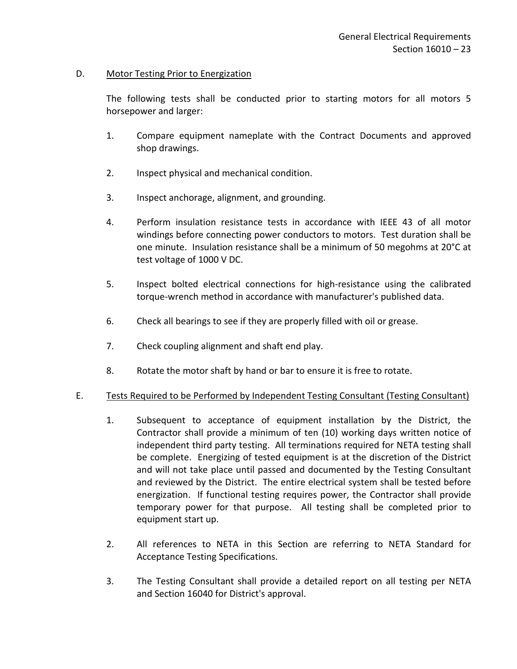## D. Motor Testing Prior to Energization

The following tests shall be conducted prior to starting motors for all motors 5 horsepower and larger:

- 1. Compare equipment nameplate with the Contract Documents and approved shop drawings.
- 2. Inspect physical and mechanical condition.
- 3. Inspect anchorage, alignment, and grounding.
- 4. Perform insulation resistance tests in accordance with IEEE 43 of all motor windings before connecting power conductors to motors. Test duration shall be one minute. Insulation resistance shall be a minimum of 50 megohms at 20°C at test voltage of 1000 V DC.
- 5. Inspect bolted electrical connections for high-resistance using the calibrated torque-wrench method in accordance with manufacturer's published data.
- 6. Check all bearings to see if they are properly filled with oil or grease.
- 7. Check coupling alignment and shaft end play.
- 8. Rotate the motor shaft by hand or bar to ensure it is free to rotate.

### E. Tests Required to be Performed by Independent Testing Consultant (Testing Consultant)

- 1. Subsequent to acceptance of equipment installation by the District, the Contractor shall provide a minimum of ten (10) working days written notice of independent third party testing. All terminations required for NETA testing shall be complete. Energizing of tested equipment is at the discretion of the District and will not take place until passed and documented by the Testing Consultant and reviewed by the District. The entire electrical system shall be tested before energization. If functional testing requires power, the Contractor shall provide temporary power for that purpose. All testing shall be completed prior to equipment start up.
- 2. All references to NETA in this Section are referring to NETA Standard for Acceptance Testing Specifications.
- 3. The Testing Consultant shall provide a detailed report on all testing per NETA and Section 16040 for District's approval.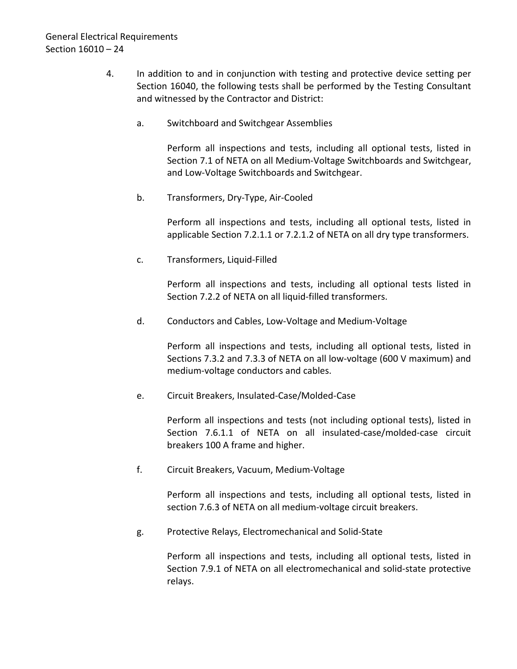- 4. In addition to and in conjunction with testing and protective device setting per Section 16040, the following tests shall be performed by the Testing Consultant and witnessed by the Contractor and District:
	- a. Switchboard and Switchgear Assemblies

Perform all inspections and tests, including all optional tests, listed in Section 7.1 of NETA on all Medium-Voltage Switchboards and Switchgear, and Low-Voltage Switchboards and Switchgear.

b. Transformers, Dry-Type, Air-Cooled

Perform all inspections and tests, including all optional tests, listed in applicable Section 7.2.1.1 or 7.2.1.2 of NETA on all dry type transformers.

c. Transformers, Liquid-Filled

Perform all inspections and tests, including all optional tests listed in Section 7.2.2 of NETA on all liquid-filled transformers.

d. Conductors and Cables, Low-Voltage and Medium-Voltage

Perform all inspections and tests, including all optional tests, listed in Sections 7.3.2 and 7.3.3 of NETA on all low-voltage (600 V maximum) and medium-voltage conductors and cables.

e. Circuit Breakers, Insulated-Case/Molded-Case

Perform all inspections and tests (not including optional tests), listed in Section 7.6.1.1 of NETA on all insulated-case/molded-case circuit breakers 100 A frame and higher.

f. Circuit Breakers, Vacuum, Medium-Voltage

Perform all inspections and tests, including all optional tests, listed in section 7.6.3 of NETA on all medium-voltage circuit breakers.

g. Protective Relays, Electromechanical and Solid-State

Perform all inspections and tests, including all optional tests, listed in Section 7.9.1 of NETA on all electromechanical and solid-state protective relays.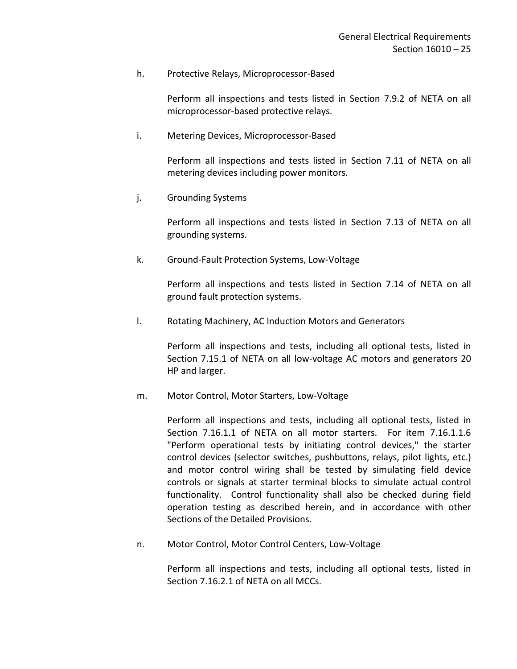#### h. Protective Relays, Microprocessor-Based

Perform all inspections and tests listed in Section 7.9.2 of NETA on all microprocessor-based protective relays.

i. Metering Devices, Microprocessor-Based

Perform all inspections and tests listed in Section 7.11 of NETA on all metering devices including power monitors.

j. Grounding Systems

Perform all inspections and tests listed in Section 7.13 of NETA on all grounding systems.

k. Ground-Fault Protection Systems, Low-Voltage

Perform all inspections and tests listed in Section 7.14 of NETA on all ground fault protection systems.

l. Rotating Machinery, AC Induction Motors and Generators

Perform all inspections and tests, including all optional tests, listed in Section 7.15.1 of NETA on all low-voltage AC motors and generators 20 HP and larger.

m. Motor Control, Motor Starters, Low-Voltage

Perform all inspections and tests, including all optional tests, listed in Section 7.16.1.1 of NETA on all motor starters. For item 7.16.1.1.6 "Perform operational tests by initiating control devices," the starter control devices (selector switches, pushbuttons, relays, pilot lights, etc.) and motor control wiring shall be tested by simulating field device controls or signals at starter terminal blocks to simulate actual control functionality. Control functionality shall also be checked during field operation testing as described herein, and in accordance with other Sections of the Detailed Provisions.

n. Motor Control, Motor Control Centers, Low-Voltage

Perform all inspections and tests, including all optional tests, listed in Section 7.16.2.1 of NETA on all MCCs.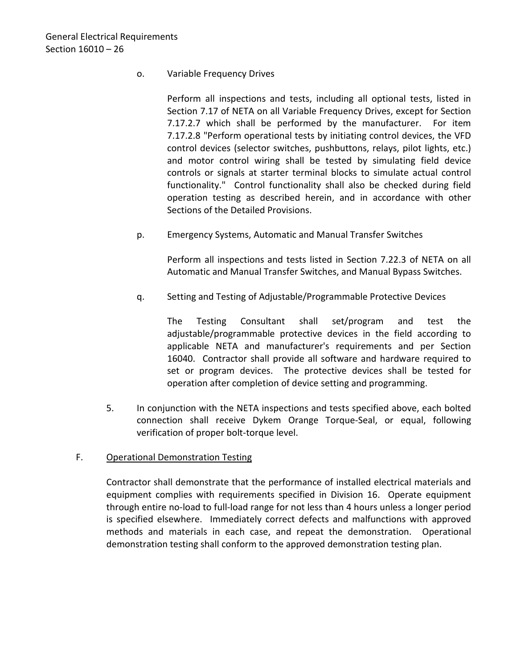## o. Variable Frequency Drives

Perform all inspections and tests, including all optional tests, listed in Section 7.17 of NETA on all Variable Frequency Drives, except for Section 7.17.2.7 which shall be performed by the manufacturer. For item 7.17.2.8 "Perform operational tests by initiating control devices, the VFD control devices (selector switches, pushbuttons, relays, pilot lights, etc.) and motor control wiring shall be tested by simulating field device controls or signals at starter terminal blocks to simulate actual control functionality." Control functionality shall also be checked during field operation testing as described herein, and in accordance with other Sections of the Detailed Provisions.

p. Emergency Systems, Automatic and Manual Transfer Switches

Perform all inspections and tests listed in Section 7.22.3 of NETA on all Automatic and Manual Transfer Switches, and Manual Bypass Switches.

q. Setting and Testing of Adjustable/Programmable Protective Devices

The Testing Consultant shall set/program and test the adjustable/programmable protective devices in the field according to applicable NETA and manufacturer's requirements and per Section 16040. Contractor shall provide all software and hardware required to set or program devices. The protective devices shall be tested for operation after completion of device setting and programming.

5. In conjunction with the NETA inspections and tests specified above, each bolted connection shall receive Dykem Orange Torque-Seal, or equal, following verification of proper bolt-torque level.

# F. Operational Demonstration Testing

Contractor shall demonstrate that the performance of installed electrical materials and equipment complies with requirements specified in Division 16. Operate equipment through entire no-load to full-load range for not less than 4 hours unless a longer period is specified elsewhere. Immediately correct defects and malfunctions with approved methods and materials in each case, and repeat the demonstration. Operational demonstration testing shall conform to the approved demonstration testing plan.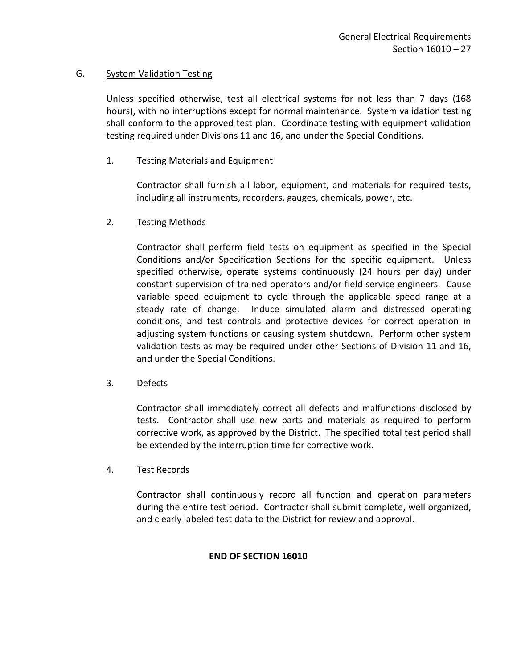## G. System Validation Testing

Unless specified otherwise, test all electrical systems for not less than 7 days (168 hours), with no interruptions except for normal maintenance. System validation testing shall conform to the approved test plan. Coordinate testing with equipment validation testing required under Divisions 11 and 16, and under the Special Conditions.

1. Testing Materials and Equipment

Contractor shall furnish all labor, equipment, and materials for required tests, including all instruments, recorders, gauges, chemicals, power, etc.

2. Testing Methods

Contractor shall perform field tests on equipment as specified in the Special Conditions and/or Specification Sections for the specific equipment. Unless specified otherwise, operate systems continuously (24 hours per day) under constant supervision of trained operators and/or field service engineers. Cause variable speed equipment to cycle through the applicable speed range at a steady rate of change. Induce simulated alarm and distressed operating conditions, and test controls and protective devices for correct operation in adjusting system functions or causing system shutdown. Perform other system validation tests as may be required under other Sections of Division 11 and 16, and under the Special Conditions.

3. Defects

Contractor shall immediately correct all defects and malfunctions disclosed by tests. Contractor shall use new parts and materials as required to perform corrective work, as approved by the District. The specified total test period shall be extended by the interruption time for corrective work.

4. Test Records

Contractor shall continuously record all function and operation parameters during the entire test period. Contractor shall submit complete, well organized, and clearly labeled test data to the District for review and approval.

### **END OF SECTION 16010**